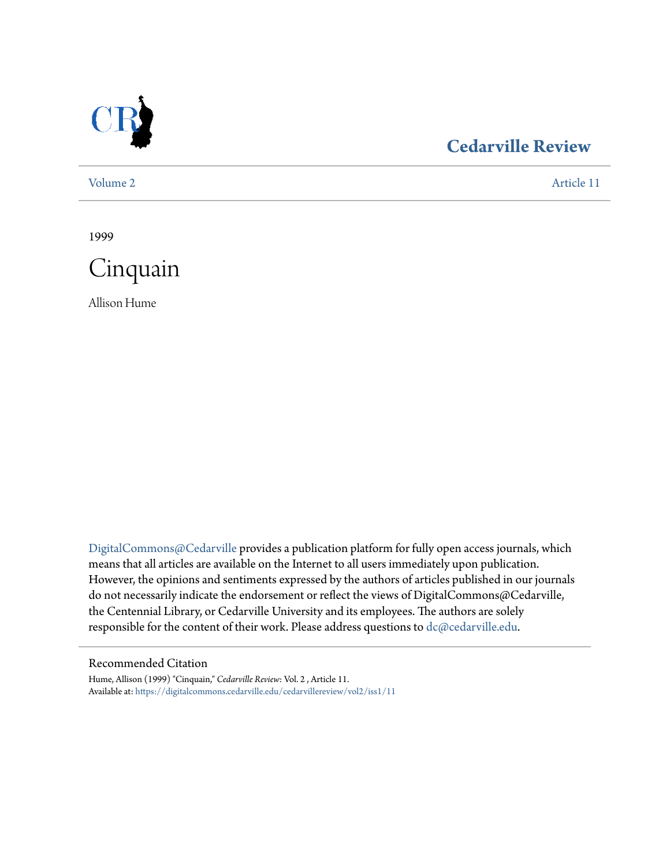

# **[Cedarville Review](https://digitalcommons.cedarville.edu/cedarvillereview?utm_source=digitalcommons.cedarville.edu%2Fcedarvillereview%2Fvol2%2Fiss1%2F11&utm_medium=PDF&utm_campaign=PDFCoverPages)**

[Volume 2](https://digitalcommons.cedarville.edu/cedarvillereview/vol2?utm_source=digitalcommons.cedarville.edu%2Fcedarvillereview%2Fvol2%2Fiss1%2F11&utm_medium=PDF&utm_campaign=PDFCoverPages) [Article 11](https://digitalcommons.cedarville.edu/cedarvillereview/vol2/iss1/11?utm_source=digitalcommons.cedarville.edu%2Fcedarvillereview%2Fvol2%2Fiss1%2F11&utm_medium=PDF&utm_campaign=PDFCoverPages)

1999



Allison Hume

[DigitalCommons@Cedarville](http://digitalcommons.cedarville.edu) provides a publication platform for fully open access journals, which means that all articles are available on the Internet to all users immediately upon publication. However, the opinions and sentiments expressed by the authors of articles published in our journals do not necessarily indicate the endorsement or reflect the views of DigitalCommons@Cedarville, the Centennial Library, or Cedarville University and its employees. The authors are solely responsible for the content of their work. Please address questions to [dc@cedarville.edu](mailto:dc@cedarville.edu).

#### Recommended Citation

Hume, Allison (1999) "Cinquain," *Cedarville Review*: Vol. 2 , Article 11. Available at: [https://digitalcommons.cedarville.edu/cedarvillereview/vol2/iss1/11](https://digitalcommons.cedarville.edu/cedarvillereview/vol2/iss1/11?utm_source=digitalcommons.cedarville.edu%2Fcedarvillereview%2Fvol2%2Fiss1%2F11&utm_medium=PDF&utm_campaign=PDFCoverPages)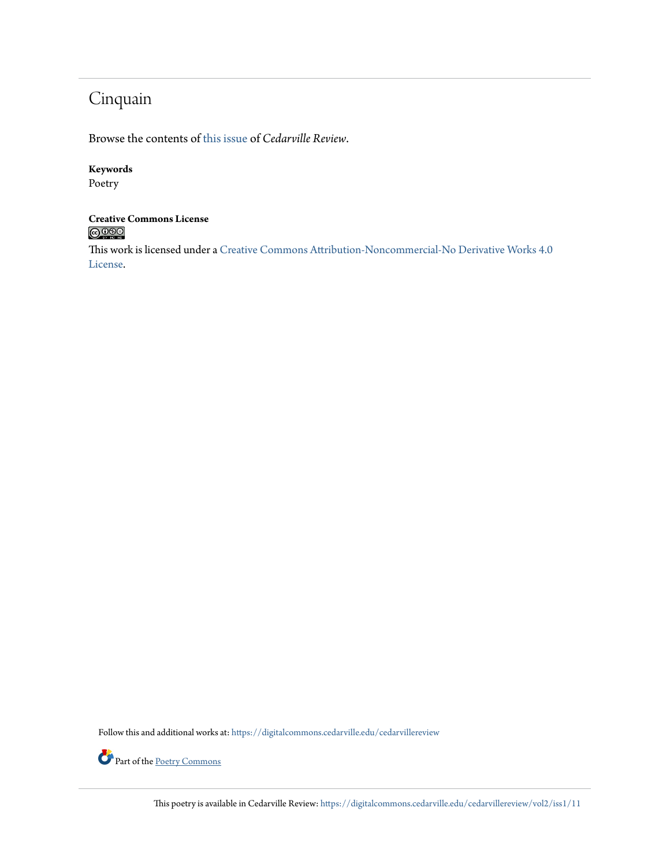# Cinquain

Browse the contents of [this issue](https://digitalcommons.cedarville.edu/cedarvillereview/vol2/iss1) of *Cedarville Review*.

### **Keywords**

Poetry

### **Creative Commons License**  $\bigcirc$  000

This work is licensed under a [Creative Commons Attribution-Noncommercial-No Derivative Works 4.0](http://creativecommons.org/licenses/by-nc-nd/4.0/) [License.](http://creativecommons.org/licenses/by-nc-nd/4.0/)

Follow this and additional works at: [https://digitalcommons.cedarville.edu/cedarvillereview](https://digitalcommons.cedarville.edu/cedarvillereview?utm_source=digitalcommons.cedarville.edu%2Fcedarvillereview%2Fvol2%2Fiss1%2F11&utm_medium=PDF&utm_campaign=PDFCoverPages)



This poetry is available in Cedarville Review: [https://digitalcommons.cedarville.edu/cedarvillereview/vol2/iss1/11](https://digitalcommons.cedarville.edu/cedarvillereview/vol2/iss1/11?utm_source=digitalcommons.cedarville.edu%2Fcedarvillereview%2Fvol2%2Fiss1%2F11&utm_medium=PDF&utm_campaign=PDFCoverPages)